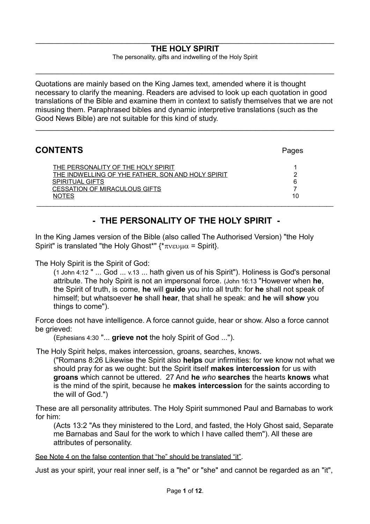#### $\_$  , and the set of the set of the set of the set of the set of the set of the set of the set of the set of the set of the set of the set of the set of the set of the set of the set of the set of the set of the set of th **THE HOLY SPIRIT**

The personality, gifts and indwelling of the Holy Spirit

 $\mathcal{L}_\mathcal{L} = \{ \mathcal{L}_\mathcal{L} = \{ \mathcal{L}_\mathcal{L} = \{ \mathcal{L}_\mathcal{L} = \{ \mathcal{L}_\mathcal{L} = \{ \mathcal{L}_\mathcal{L} = \{ \mathcal{L}_\mathcal{L} = \{ \mathcal{L}_\mathcal{L} = \{ \mathcal{L}_\mathcal{L} = \{ \mathcal{L}_\mathcal{L} = \{ \mathcal{L}_\mathcal{L} = \{ \mathcal{L}_\mathcal{L} = \{ \mathcal{L}_\mathcal{L} = \{ \mathcal{L}_\mathcal{L} = \{ \mathcal{L}_\mathcal{$ 

Quotations are mainly based on the King James text, amended where it is thought necessary to clarify the meaning. Readers are advised to look up each quotation in good translations of the Bible and examine them in context to satisfy themselves that we are not misusing them. Paraphrased bibles and dynamic interpretive translations (such as the Good News Bible) are not suitable for this kind of study.

 $\_$  , and the set of the set of the set of the set of the set of the set of the set of the set of the set of the set of the set of the set of the set of the set of the set of the set of the set of the set of the set of th

| <b>CONTENTS</b>                                                                                                                                                           | Pages        |
|---------------------------------------------------------------------------------------------------------------------------------------------------------------------------|--------------|
| THE PERSONALITY OF THE HOLY SPIRIT<br>THE INDWELLING OF YHE FATHER, SON AND HOLY SPIRIT<br><b>SPIRITUAL GIFTS</b><br><b>CESSATION OF MIRACULOUS GIFTS</b><br><b>NOTES</b> | ŋ<br>6<br>10 |

# <span id="page-0-0"></span>**- THE PERSONALITY OF THE HOLY SPIRIT -**

In the King James version of the Bible (also called The Authorised Version) "the Holy Spirit" is translated "the Holy Ghost\*"  $\{\star_{\pi \vee \epsilon \vee \mu \alpha} =$  Spirit}.

The Holy Spirit is the Spirit of God:

(1 John 4:12 " ... God ... v.13 ... hath given us of his Spirit"). Holiness is God's personal attribute. The holy Spirit is not an impersonal force. (John 16:13 "However when **he**, the Spirit of truth, is come, **he** will **guide** you into all truth: for **he** shall not speak of himself; but whatsoever **he** shall **hear**, that shall he speak: and **he** will **show** you things to come").

Force does not have intelligence. A force cannot guide, hear or show. Also a force cannot be grieved:

(Ephesians 4:30 "... **grieve not** the holy Spirit of God ...").

The Holy Spirit helps, makes intercession, groans, searches, knows.

("Romans 8:26 Likewise the Spirit also **helps** our infirmities: for we know not what we should pray for as we ought: but the Spirit itself **makes intercession** for us with **groans** which cannot be uttered. 27 And **he** *who* **searches** the hearts **knows** what is the mind of the spirit, because he **makes intercession** for the saints according to the will of God.")

These are all personality attributes. The Holy Spirit summoned Paul and Barnabas to work for him:

(Acts 13:2 "As they ministered to the Lord, and fasted, the Holy Ghost said, Separate me Barnabas and Saul for the work to which I have called them"). All these are attributes of personality.

See Note 4 on the false contention that "he" should be translated "it".

Just as your spirit, your real inner self, is a "he" or "she" and cannot be regarded as an "it",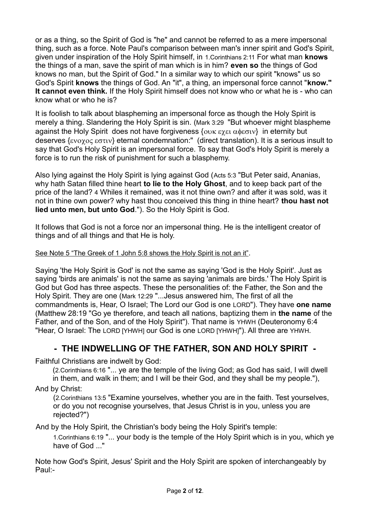or as a thing, so the Spirit of God is "he" and cannot be referred to as a mere impersonal thing, such as a force. Note Paul's comparison between man's inner spirit and God's Spirit, given under inspiration of the Holy Spirit himself, in 1.Corinthians 2:11 For what man **knows** the things of a man, save the spirit of man which is in him? **even so** the things of God knows no man, but the Spirit of God." In a similar way to which our spirit "knows" us so God's Spirit **knows** the things of God. An "it", a thing, an impersonal force cannot "**know." It cannot even think.** If the Holy Spirit himself does not know who or what he is - who can know what or who he is?

It is foolish to talk about blaspheming an impersonal force as though the Holy Spirit is merely a thing. Slandering the Holy Spirit is sin. (Mark 3:29 "But whoever might blaspheme against the Holy Spirit does not have forgiveness  $\{ow\epsilon\chi\epsilon\alpha\phi\epsilon\sigma\omega\}$  in eternity but deserves  $\{\varepsilon v \circ \gamma \circ \varepsilon \circ \varepsilon \circ \tau v\}$  eternal condemnation:" (direct translation). It is a serious insult to say that God's Holy Spirit is an impersonal force. To say that God's Holy Spirit is merely a force is to run the risk of punishment for such a blasphemy.

Also lying against the Holy Spirit is lying against God (Acts 5:3 "But Peter said, Ananias, why hath Satan filled thine heart **to lie to the Holy Ghost**, and to keep back part of the price of the land? 4 Whiles it remained, was it not thine own? and after it was sold, was it not in thine own power? why hast thou conceived this thing in thine heart? **thou hast not lied unto men, but unto God**."). So the Holy Spirit is God.

It follows that God is not a force nor an impersonal thing. He is the intelligent creator of things and of all things and that He is holy.

## See Note 5 "The Greek of 1 John 5:8 shows the Holy Spirit is not an it".

Saying 'the Holy Spirit is God' is not the same as saying 'God is the Holy Spirit'. Just as saying 'birds are animals' is not the same as saying 'animals are birds.' The Holy Spirit is God but God has three aspects. These the personalities of: the Father, the Son and the Holy Spirit. They are one (Mark 12:29 "...Jesus answered him, The first of all the commandments is, Hear, O Israel; The Lord our God is one LORD"). They have **one name** (Matthew 28:19 "Go ye therefore, and teach all nations, baptizing them in **the name** of the Father, and of the Son, and of the Holy Spirit"). That name is YHWH (Deuteronomy 6:4 "Hear, O Israel: The LORD [YHWH] our God is one LORD [YHWH]"). All three are YHWH.

# **- THE INDWELLING OF THE FATHER, SON AND HOLY SPIRIT -**

Faithful Christians are indwelt by God:

(2.Corinthians 6:16 "... ye are the temple of the living God; as God has said, I will dwell in them, and walk in them; and I will be their God, and they shall be my people."),

And by Christ:

(2.Corinthians 13:5 "Examine yourselves, whether you are in the faith. Test yourselves, or do you not recognise yourselves, that Jesus Christ is in you, unless you are rejected?")

And by the Holy Spirit, the Christian's body being the Holy Spirit's temple:

1.Corinthians 6:19 "... your body is the temple of the Holy Spirit which is in you, which ye have of God ..."

Note how God's Spirit, Jesus' Spirit and the Holy Spirit are spoken of interchangeably by Paul:-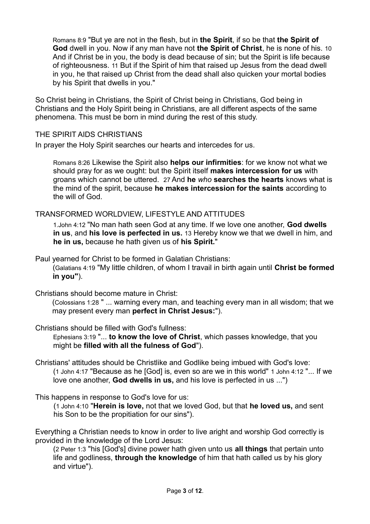Romans 8:9 "But ye are not in the flesh, but in **the Spirit**, if so be that **the Spirit of God** dwell in you. Now if any man have not **the Spirit of Christ**, he is none of his. 10 And if Christ be in you, the body is dead because of sin; but the Spirit is life because of righteousness. 11 But if the Spirit of him that raised up Jesus from the dead dwell in you, he that raised up Christ from the dead shall also quicken your mortal bodies by his Spirit that dwells in you."

So Christ being in Christians, the Spirit of Christ being in Christians, God being in Christians and the Holy Spirit being in Christians, are all different aspects of the same phenomena. This must be born in mind during the rest of this study.

THE SPIRIT AIDS CHRISTIANS

In prayer the Holy Spirit searches our hearts and intercedes for us.

Romans 8:26 Likewise the Spirit also **helps our infirmities**: for we know not what we should pray for as we ought: but the Spirit itself **makes intercession for us** with groans which cannot be uttered. 27 And **he** *who* **searches the hearts** knows what is the mind of the spirit, because **he makes intercession for the saints** according to the will of God.

TRANSFORMED WORLDVIEW, LIFESTYLE AND ATTITUDES

1.John 4:12 "No man hath seen God at any time. If we love one another, **God dwells in us**, and **his love is perfected in us.** 13 Hereby know we that we dwell in him, and **he in us,** because he hath given us of **his Spirit.**"

Paul yearned for Christ to be formed in Galatian Christians:

(Galatians 4:19 "My little children, of whom I travail in birth again until **Christ be formed in you"**).

Christians should become mature in Christ:

(Colossians 1:28 " ... warning every man, and teaching every man in all wisdom; that we may present every man **perfect in Christ Jesus:**").

Christians should be filled with God's fullness:

Ephesians 3:19 "... **to know the love of Christ**, which passes knowledge, that you might be **filled with all the fulness of God**").

- Christians' attitudes should be Christlike and Godlike being imbued with God's love: (1 John 4:17 "Because as he [God] is, even so are we in this world" 1 John 4:12 "... If we love one another, **God dwells in us,** and his love is perfected in us ...")
- This happens in response to God's love for us:

(1 John 4:10 "**Herein is love,** not that we loved God, but that **he loved us,** and sent his Son to be the propitiation for our sins").

Everything a Christian needs to know in order to live aright and worship God correctly is provided in the knowledge of the Lord Jesus:

(2 Peter 1:3 "his [God's] divine power hath given unto us **all things** that pertain unto life and godliness, **through the knowledge** of him that hath called us by his glory and virtue").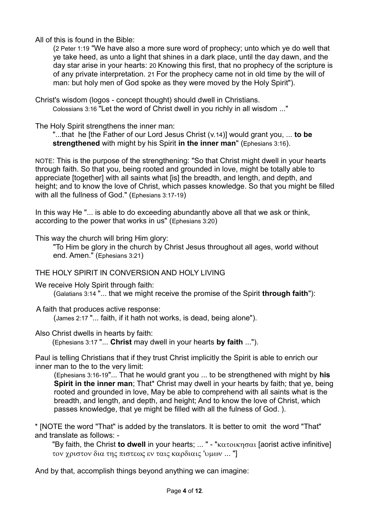All of this is found in the Bible:

(2 Peter 1:19 "We have also a more sure word of prophecy; unto which ye do well that ye take heed, as unto a light that shines in a dark place, until the day dawn, and the day star arise in your hearts: 20 Knowing this first, that no prophecy of the scripture is of any private interpretation. 21 For the prophecy came not in old time by the will of man: but holy men of God spoke as they were moved by the Holy Spirit").

Christ's wisdom (logos - concept thought) should dwell in Christians. Colossians 3:16 "Let the word of Christ dwell in you richly in all wisdom ..."

The Holy Spirit strengthens the inner man:

"...that he [the Father of our Lord Jesus Christ (v.14)] would grant you, ... **to be strengthened** with might by his Spirit **in the inner man**" (Ephesians 3:16).

NOTE: This is the purpose of the strengthening: "So that Christ might dwell in your hearts through faith. So that you, being rooted and grounded in love, might be totally able to appreciate [together] with all saints what [is] the breadth, and length, and depth, and height; and to know the love of Christ, which passes knowledge. So that you might be filled with all the fullness of God." (Ephesians 3:17-19)

In this way He "... is able to do exceeding abundantly above all that we ask or think, according to the power that works in us" (Ephesians 3:20)

This way the church will bring Him glory:

"To Him be glory in the church by Christ Jesus throughout all ages, world without end. Amen." (Ephesians 3:21)

## THE HOLY SPIRIT IN CONVERSION AND HOLY LIVING

We receive Holy Spirit through faith:

(Galatians 3:14 "... that we might receive the promise of the Spirit **through faith**"):

A faith that produces active response:

(James 2:17 "... faith, if it hath not works, is dead, being alone").

Also Christ dwells in hearts by faith:

(Ephesians 3:17 "... **Christ** may dwell in your hearts **by faith** ...").

Paul is telling Christians that if they trust Christ implicitly the Spirit is able to enrich our inner man to the to the very limit:

(Ephesians 3:16-19"... That he would grant you ... to be strengthened with might by **his Spirit in the inner man**; That\* Christ may dwell in your hearts by faith; that ye, being rooted and grounded in love, May be able to comprehend with all saints what is the breadth, and length, and depth, and height; And to know the love of Christ, which passes knowledge, that ye might be filled with all the fulness of God. ).

\* [NOTE the word "That" is added by the translators. It is better to omit the word "That" and translate as follows: -

"By faith, the Christ **to dwell** in your hearts; ... " - " $\kappa \alpha \tau \alpha \kappa \eta \sigma \alpha \iota$  [aorist active infinitive]  $\tau$ ον γριστον δια της πιστεως εν ταις καρδιαις 'υμων ... "]

And by that, accomplish things beyond anything we can imagine: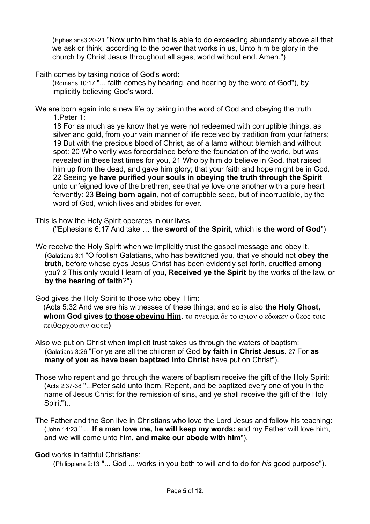(Ephesians3:20-21 "Now unto him that is able to do exceeding abundantly above all that we ask or think, according to the power that works in us, Unto him be glory in the church by Christ Jesus throughout all ages, world without end. Amen.")

Faith comes by taking notice of God's word:

(Romans 10:17 "... faith comes by hearing, and hearing by the word of God"), by implicitly believing God's word.

We are born again into a new life by taking in the word of God and obeying the truth: 1.Peter 1:

18 For as much as ye know that ye were not redeemed with corruptible things, as silver and gold, from your vain manner of life received by tradition from your fathers; 19 But with the precious blood of Christ, as of a lamb without blemish and without spot: 20 Who verily was foreordained before the foundation of the world, but was revealed in these last times for you, 21 Who by him do believe in God, that raised him up from the dead, and gave him glory; that your faith and hope might be in God. 22 Seeing **ye have purified your souls in obeying the truth through the Spirit**  unto unfeigned love of the brethren, see that ye love one another with a pure heart fervently: 23 **Being born again**, not of corruptible seed, but of incorruptible, by the word of God, which lives and abides for ever.

This is how the Holy Spirit operates in our lives. ("Ephesians 6:17 And take … **the sword of the Spirit**, which is **the word of God**")

We receive the Holy Spirit when we implicitly trust the gospel message and obey it. (Galatians 3:1 "O foolish Galatians, who has bewitched you, that ye should not **obey the truth,** before whose eyes Jesus Christ has been evidently set forth, crucified among you? 2 This only would I learn of you, **Received ye the Spirit** by the works of the law, or **by the hearing of faith**?").

God gives the Holy Spirit to those who obey Him:

(Acts 5:32 And we are his witnesses of these things; and so is also **the Holy Ghost, whom God gives to those obeying Him.** To  $\pi$  vella  $\delta \varepsilon$  to  $\alpha$ *yiov* o  $\varepsilon \delta \omega \kappa \varepsilon v$  o  $\theta \varepsilon o \varsigma$  toic  $\pi\epsilon_1\theta\alpha\rho\gamma$ ουσιν αυτω)

- Also we put on Christ when implicit trust takes us through the waters of baptism: (Galatians 3:26 "For ye are all the children of God **by faith in Christ Jesus**. 27 For **as many of you as have been baptized into Christ** have put on Christ").
- Those who repent and go through the waters of baptism receive the gift of the Holy Spirit: (Acts 2:37-38 "...Peter said unto them, Repent, and be baptized every one of you in the name of Jesus Christ for the remission of sins, and ye shall receive the gift of the Holy Spirit")..
- The Father and the Son live in Christians who love the Lord Jesus and follow his teaching: (John 14:23 " ... **If a man love me, he will keep my words:** and my Father will love him, and we will come unto him, **and make our abode with him**").

**God** works in faithful Christians:

(Philippians 2:13 "... God ... works in you both to will and to do for *his* good purpose").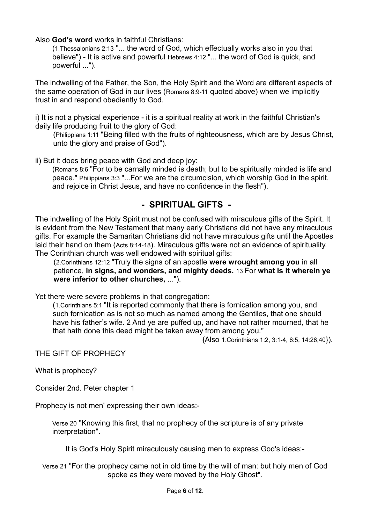Also **God's word** works in faithful Christians:

(1.Thessalonians 2:13 "... the word of God, which effectually works also in you that believe") - It is active and powerful Hebrews 4:12 "... the word of God is quick, and powerful ...").

The indwelling of the Father, the Son, the Holy Spirit and the Word are different aspects of the same operation of God in our lives (Romans 8:9-11 quoted above) when we implicitly trust in and respond obediently to God.

i) It is not a physical experience - it is a spiritual reality at work in the faithful Christian's daily life producing fruit to the glory of God:

(Philippians 1:11 "Being filled with the fruits of righteousness, which are by Jesus Christ, unto the glory and praise of God").

ii) But it does bring peace with God and deep joy:

(Romans 8:6 "For to be carnally minded is death; but to be spiritually minded is life and peace." Philippians 3:3 "...For we are the circumcision, which worship God in the spirit, and rejoice in Christ Jesus, and have no confidence in the flesh").

# **- SPIRITUAL GIFTS -**

The indwelling of the Holy Spirit must not be confused with miraculous gifts of the Spirit. It is evident from the New Testament that many early Christians did not have any miraculous gifts. For example the Samaritan Christians did not have miraculous gifts until the Apostles laid their hand on them (Acts 8:14-18). Miraculous gifts were not an evidence of spirituality. The Corinthian church was well endowed with spiritual gifts:

(2.Corinthians 12:12 "Truly the signs of an apostle **were wrought among you** in all patience, **in signs, and wonders, and mighty deeds.** 13 For **what is it wherein ye were inferior to other churches,** ...").

Yet there were severe problems in that congregation:

(1.Corinthians 5:1 "It is reported commonly that there is fornication among you, and such fornication as is not so much as named among the Gentiles, that one should have his father's wife. 2 And ye are puffed up, and have not rather mourned, that he that hath done this deed might be taken away from among you."

{Also 1.Corinthians 1:2, 3:1-4, 6:5, 14:26,40}).

THE GIFT OF PROPHECY

What is prophecy?

Consider 2nd. Peter chapter 1

Prophecy is not men' expressing their own ideas:-

Verse 20 "Knowing this first, that no prophecy of the scripture is of any private interpretation".

It is God's Holy Spirit miraculously causing men to express God's ideas:-

Verse 21 "For the prophecy came not in old time by the will of man: but holy men of God spoke as they were moved by the Holy Ghost".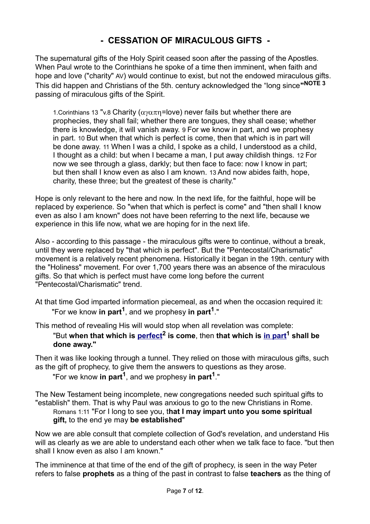# **- CESSATION OF MIRACULOUS GIFTS -**

The supernatural gifts of the Holy Spirit ceased soon after the passing of the Apostles. When Paul wrote to the Corinthians he spoke of a time then imminent, when faith and hope and love ("charity" AV) would continue to exist, but not the endowed miraculous gifts. This did happen and Christians of the 5th. century acknowledged the "long since**" NOTE 3** passing of miraculous gifts of the Spirit.

1. Corinthians 13 "v.8 Charity ( $\alpha$  $\alpha\pi$ n=love) never fails but whether there are prophecies, they shall fail; whether there are tongues, they shall cease; whether there is knowledge, it will vanish away. 9 For we know in part, and we prophesy in part. 10 But when that which is perfect is come, then that which is in part will be done away. 11 When I was a child, I spoke as a child, I understood as a child, I thought as a child: but when I became a man, I put away childish things. 12 For now we see through a glass, darkly; but then face to face: now I know in part; but then shall I know even as also I am known. 13 And now abides faith, hope, charity, these three; but the greatest of these is charity."

Hope is only relevant to the here and now. In the next life, for the faithful, hope will be replaced by experience. So "when that which is perfect is come" and "then shall I know even as also I am known" does not have been referring to the next life, because we experience in this life now, what we are hoping for in the next life.

Also - according to this passage - the miraculous gifts were to continue, without a break, until they were replaced by "that which is perfect". But the "Pentecostal/Charismatic" movement is a relatively recent phenomena. Historically it began in the 19th. century with the "Holiness" movement. For over 1,700 years there was an absence of the miraculous gifts. So that which is perfect must have come long before the current "Pentecostal/Charismatic" trend.

At that time God imparted information piecemeal, as and when the occasion required it: "For we know **in part<sup>1</sup>**, and we prophesy **in part<sup>1</sup>**."

This method of revealing His will would stop when all revelation was complete:

"But **when that which is [perfect](#page-6-1)<sup>2</sup> is come**, then **that which is [in part](#page-6-0)<sup>1</sup> shall be done away."**

Then it was like looking through a tunnel. They relied on those with miraculous gifts, such as the gift of prophecy, to give them the answers to questions as they arose.

<span id="page-6-1"></span><span id="page-6-0"></span>"For we know **in part<sup>1</sup>**, and we prophesy **in part<sup>1</sup>**."

The New Testament being incomplete, new congregations needed such spiritual gifts to "establish" them. That is why Paul was anxious to go to the new Christians in Rome. Romans 1:11 "For I long to see you, t**hat I may impart unto you some spiritual gift,** to the end ye may **be established**"

Now we are able consult that complete collection of God's revelation, and understand His will as clearly as we are able to understand each other when we talk face to face. "but then shall I know even as also I am known."

The imminence at that time of the end of the gift of prophecy, is seen in the way Peter refers to false **prophets** as a thing of the past in contrast to false **teachers** as the thing of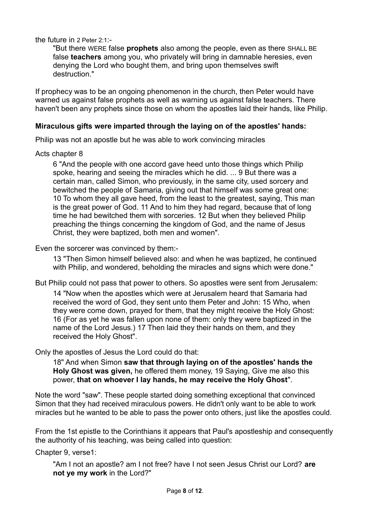the future in 2 Peter 2:1:-

"But there WERE false **prophets** also among the people, even as there SHALL BE false **teachers** among you, who privately will bring in damnable heresies, even denying the Lord who bought them, and bring upon themselves swift destruction."

If prophecy was to be an ongoing phenomenon in the church, then Peter would have warned us against false prophets as well as warning us against false teachers. There haven't been any prophets since those on whom the apostles laid their hands, like Philip.

#### **Miraculous gifts were imparted through the laying on of the apostles' hands:**

Philip was not an apostle but he was able to work convincing miracles

Acts chapter 8

6 "And the people with one accord gave heed unto those things which Philip spoke, hearing and seeing the miracles which he did. ... 9 But there was a certain man, called Simon, who previously, in the same city, used sorcery and bewitched the people of Samaria, giving out that himself was some great one: 10 To whom they all gave heed, from the least to the greatest, saying, This man is the great power of God. 11 And to him they had regard, because that of long time he had bewitched them with sorceries. 12 But when they believed Philip preaching the things concerning the kingdom of God, and the name of Jesus Christ, they were baptized, both men and women".

Even the sorcerer was convinced by them:-

13 "Then Simon himself believed also: and when he was baptized, he continued with Philip, and wondered, beholding the miracles and signs which were done."

But Philip could not pass that power to others. So apostles were sent from Jerusalem:

14 "Now when the apostles which were at Jerusalem heard that Samaria had received the word of God, they sent unto them Peter and John: 15 Who, when they were come down, prayed for them, that they might receive the Holy Ghost: 16 (For as yet he was fallen upon none of them: only they were baptized in the name of the Lord Jesus.) 17 Then laid they their hands on them, and they received the Holy Ghost".

Only the apostles of Jesus the Lord could do that:

18" And when Simon **saw that through laying on of the apostles' hands the Holy Ghost was given,** he offered them money, 19 Saying, Give me also this power, **that on whoever I lay hands, he may receive the Holy Ghost**".

Note the word "saw". These people started doing something exceptional that convinced Simon that they had received miraculous powers. He didn't only want to be able to work miracles but he wanted to be able to pass the power onto others, just like the apostles could.

From the 1st epistle to the Corinthians it appears that Paul's apostleship and consequently the authority of his teaching, was being called into question:

Chapter 9, verse1:

"Am I not an apostle? am I not free? have I not seen Jesus Christ our Lord? **are not ye my work** in the Lord?"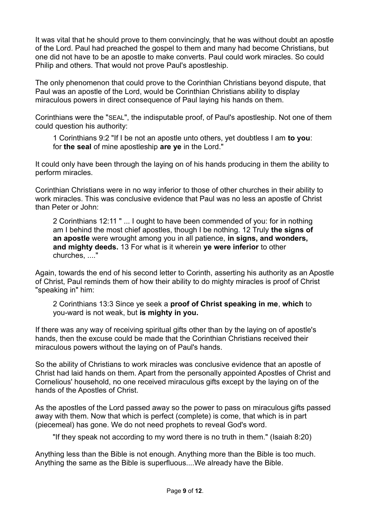It was vital that he should prove to them convincingly, that he was without doubt an apostle of the Lord. Paul had preached the gospel to them and many had become Christians, but one did not have to be an apostle to make converts. Paul could work miracles. So could Philip and others. That would not prove Paul's apostleship.

The only phenomenon that could prove to the Corinthian Christians beyond dispute, that Paul was an apostle of the Lord, would be Corinthian Christians ability to display miraculous powers in direct consequence of Paul laying his hands on them.

Corinthians were the "SEAL", the indisputable proof, of Paul's apostleship. Not one of them could question his authority:

1 Corinthians 9:2 "If I be not an apostle unto others, yet doubtless I am **to you**: for **the seal** of mine apostleship **are ye** in the Lord."

It could only have been through the laying on of his hands producing in them the ability to perform miracles.

Corinthian Christians were in no way inferior to those of other churches in their ability to work miracles. This was conclusive evidence that Paul was no less an apostle of Christ than Peter or John:

2 Corinthians 12:11 " ... I ought to have been commended of you: for in nothing am I behind the most chief apostles, though I be nothing. 12 Truly **the signs of an apostle** were wrought among you in all patience, **in signs, and wonders, and mighty deeds.** 13 For what is it wherein **ye were inferior** to other churches, ...."

Again, towards the end of his second letter to Corinth, asserting his authority as an Apostle of Christ, Paul reminds them of how their ability to do mighty miracles is proof of Christ "speaking in" him:

2 Corinthians 13:3 Since ye seek a **proof of Christ speaking in me**, **which** to you-ward is not weak, but **is mighty in you.**

If there was any way of receiving spiritual gifts other than by the laying on of apostle's hands, then the excuse could be made that the Corinthian Christians received their miraculous powers without the laying on of Paul's hands.

So the ability of Christians to work miracles was conclusive evidence that an apostle of Christ had laid hands on them. Apart from the personally appointed Apostles of Christ and Cornelious' household, no one received miraculous gifts except by the laying on of the hands of the Apostles of Christ.

As the apostles of the Lord passed away so the power to pass on miraculous gifts passed away with them. Now that which is perfect (complete) is come, that which is in part (piecemeal) has gone. We do not need prophets to reveal God's word.

"If they speak not according to my word there is no truth in them." (Isaiah 8:20)

Anything less than the Bible is not enough. Anything more than the Bible is too much. Anything the same as the Bible is superfluous....We already have the Bible.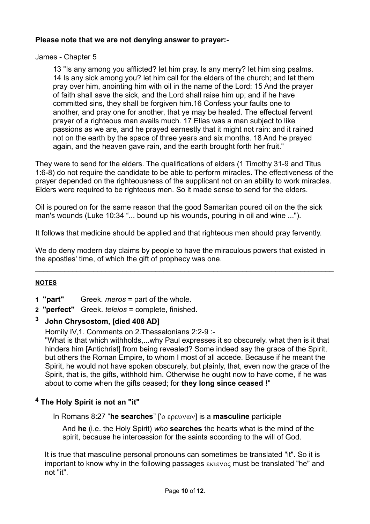## **Please note that we are not denying answer to prayer:-**

## James - Chapter 5

13 "Is any among you afflicted? let him pray. Is any merry? let him sing psalms. 14 Is any sick among you? let him call for the elders of the church; and let them pray over him, anointing him with oil in the name of the Lord: 15 And the prayer of faith shall save the sick, and the Lord shall raise him up; and if he have committed sins, they shall be forgiven him.16 Confess your faults one to another, and pray one for another, that ye may be healed. The effectual fervent prayer of a righteous man avails much. 17 Elias was a man subject to like passions as we are, and he prayed earnestly that it might not rain: and it rained not on the earth by the space of three years and six months. 18 And he prayed again, and the heaven gave rain, and the earth brought forth her fruit."

They were to send for the elders. The qualifications of elders (1 Timothy 31-9 and Titus 1:6-8) do not require the candidate to be able to perform miracles. The effectiveness of the prayer depended on the righteousness of the supplicant not on an ability to work miracles. Elders were required to be righteous men. So it made sense to send for the elders.

Oil is poured on for the same reason that the good Samaritan poured oil on the the sick man's wounds (Luke 10:34 "... bound up his wounds, pouring in oil and wine ...").

It follows that medicine should be applied and that righteous men should pray fervently.

We do deny modern day claims by people to have the miraculous powers that existed in the apostles' time, of which the gift of prophecy was one.

\_\_\_\_\_\_\_\_\_\_\_\_\_\_\_\_\_\_\_\_\_\_\_\_\_\_\_\_\_\_\_\_\_\_\_\_\_\_\_\_\_\_\_\_\_\_\_\_\_\_\_\_\_\_\_\_\_\_\_\_\_\_\_\_\_\_\_\_\_\_\_\_

## **NOTES**

- **1 "part"** Greek. *meros* = part of the whole.
- **2 "perfect"** Greek. *teleios* = complete, finished.

## **3 John Chrysostom, [died 408 AD]**

Homily IV,1. Comments on 2.Thessalonians 2:2-9 :-

"What is that which withholds,...why Paul expresses it so obscurely. what then is it that hinders him [Antichrist] from being revealed? Some indeed say the grace of the Spirit, but others the Roman Empire, to whom I most of all accede. Because if he meant the Spirit, he would not have spoken obscurely, but plainly, that, even now the grace of the Spirit, that is, the gifts, withhold him. Otherwise he ought now to have come, if he was about to come when the gifts ceased; for **they long since ceased !**"

## **4 The Holy Spirit is not an "it"**

In Romans 8:27 "he searches" ['ο ερευνων] is a masculine participle

And **he** (i.e. the Holy Spirit) *who* **searches** the hearts what is the mind of the spirit, because he intercession for the saints according to the will of God.

It is true that masculine personal pronouns can sometimes be translated "it". So it is important to know why in the following passages  $\epsilon$ <sub>Kievo</sub> must be translated "he" and not "it".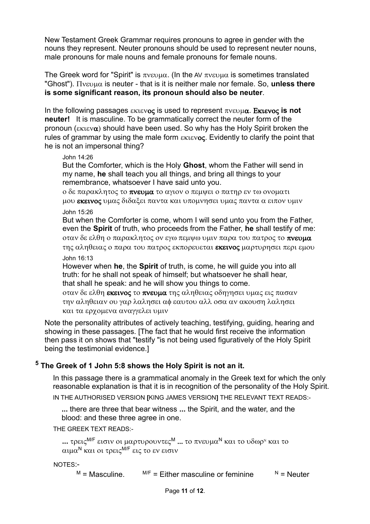New Testament Greek Grammar requires pronouns to agree in gender with the nouns they represent. Neuter pronouns should be used to represent neuter nouns, male pronouns for male nouns and female pronouns for female nouns.

The Greek word for "Spirit" is  $\pi v \epsilon v \mu \alpha$ . (In the AV  $\pi v \epsilon v \mu \alpha$  is sometimes translated  $"G$ host").  $\Pi$ <sub>vενμ $\alpha$ </sub> is neuter - that is it is neither male nor female. So, **unless there is some significant reason, its pronoun should also be neuter**.

In the following passages  $\epsilon$ **Kievoc** is used to represent  $\pi$ *v* $\epsilon$ **v** $\mu$  $\alpha$ . Ekievoc is not **neuter!** It is masculine. To be grammatically correct the neuter form of the pronoun ( $\epsilon$ <sub>Kieva</sub>) should have been used. So why has the Holy Spirit broken the rules of grammar by using the male form  $\epsilon_{\text{KIEVOC}}$ . Evidently to clarify the point that he is not an impersonal thing?

#### John 14:26

But the Comforter, which is the Holy **Ghost**, whom the Father will send in my name, **he** shall teach you all things, and bring all things to your remembrance, whatsoever I have said unto you.

o δε παρακλητος το πνευμα το αγιον ο πεμψει ο πατηρ εν τω ονοματι μου εκεινος υμας διδαξει παντα και υπομνησει υμας παντα α ειπον υμιν John 15:26

But when the Comforter is come, whom I will send unto you from the Father, even the **Spirit** of truth, who proceeds from the Father, **he** shall testify of me: oταν δε ελθη ο παρακλητος ον εγω πεμψω υμιν παρα του πατρος το πνευμα της αληθειας ο παρα του πατρος εκπορευεται εκεινος μαρτυρησει περι εμου John 16:13

However when **he**, the **Spirit** of truth, is come, he will guide you into all truth: for he shall not speak of himself; but whatsoever he shall hear, that shall he speak: and he will show you things to come.

oταν δε ελθη εκεινος το πνευμα της αληθειας οδηγησει υμας εις πασαν την αληθειαν ου γαρ λαλησει αφ εαυτου αλλ οσα αν ακουση λαλησει και τα εργομενα αναγγελει υμιν

Note the personality attributes of actively teaching, testifying, guiding, hearing and showing in these passages. [The fact that he would first receive the information then pass it on shows that "testify "is not being used figuratively of the Holy Spirit being the testimonial evidence.]

## **5 The Greek of 1 John 5:8 shows the Holy Spirit is not an it.**

In this passage there is a grammatical anomaly in the Greek text for which the only reasonable explanation is that it is in recognition of the personality of the Holy Spirit. IN THE AUTHORISED VERSION **[**KING JAMES VERSION**]** THE RELEVANT TEXT READS:-

**...** there are three that bear witness **...** the Spirit, and the water, and the blood: and these three agree in one.

THE GREEK TEXT READS:-

```
... τρεις <sup>M/F</sup> εισιν οι μαρτυρουντες <sup>M</sup> ... το πνευμα<sup>N</sup> και το υδωρ<sup>N</sup> και το
\alphaιμα<sup>Ν</sup> και οι τρεις<sup>Μ/F</sup> εις το εν εισιν
```
#### NOTES:-

 $M = M$ asculine. M/F = Either masculine or feminine  $N = N$ euter